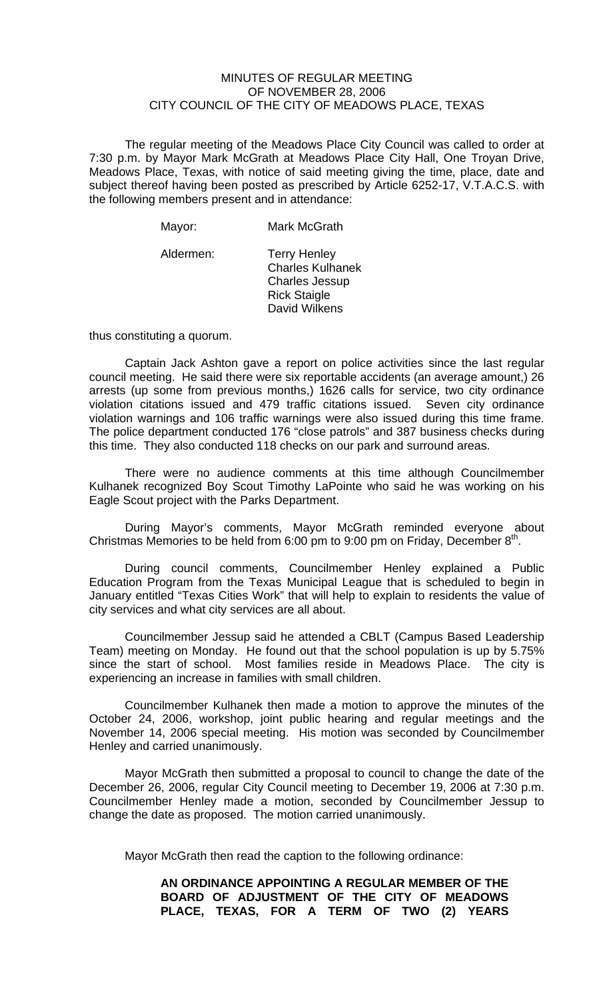## MINUTES OF REGULAR MEETING OF NOVEMBER 28, 2006 CITY COUNCIL OF THE CITY OF MEADOWS PLACE, TEXAS

The regular meeting of the Meadows Place City Council was called to order at 7:30 p.m. by Mayor Mark McGrath at Meadows Place City Hall, One Troyan Drive, Meadows Place, Texas, with notice of said meeting giving the time, place, date and subject thereof having been posted as prescribed by Article 6252-17, V.T.A.C.S. with the following members present and in attendance:

| Mayor:    | Mark McGrath                                                                                                    |
|-----------|-----------------------------------------------------------------------------------------------------------------|
| Aldermen: | <b>Terry Henley</b><br><b>Charles Kulhanek</b><br><b>Charles Jessup</b><br><b>Rick Staigle</b><br>David Wilkens |

thus constituting a quorum.

Captain Jack Ashton gave a report on police activities since the last regular council meeting. He said there were six reportable accidents (an average amount,) 26 arrests (up some from previous months,) 1626 calls for service, two city ordinance violation citations issued and 479 traffic citations issued. Seven city ordinance violation warnings and 106 traffic warnings were also issued during this time frame. The police department conducted 176 "close patrols" and 387 business checks during this time. They also conducted 118 checks on our park and surround areas.

There were no audience comments at this time although Councilmember Kulhanek recognized Boy Scout Timothy LaPointe who said he was working on his Eagle Scout project with the Parks Department.

During Mayor's comments, Mayor McGrath reminded everyone about Christmas Memories to be held from 6:00 pm to 9:00 pm on Friday, December  $8<sup>th</sup>$ .

During council comments, Councilmember Henley explained a Public Education Program from the Texas Municipal League that is scheduled to begin in January entitled "Texas Cities Work" that will help to explain to residents the value of city services and what city services are all about.

Councilmember Jessup said he attended a CBLT (Campus Based Leadership Team) meeting on Monday. He found out that the school population is up by 5.75% since the start of school. Most families reside in Meadows Place. The city is experiencing an increase in families with small children.

Councilmember Kulhanek then made a motion to approve the minutes of the October 24, 2006, workshop, joint public hearing and regular meetings and the November 14, 2006 special meeting. His motion was seconded by Councilmember Henley and carried unanimously.

Mayor McGrath then submitted a proposal to council to change the date of the December 26, 2006, regular City Council meeting to December 19, 2006 at 7:30 p.m. Councilmember Henley made a motion, seconded by Councilmember Jessup to change the date as proposed. The motion carried unanimously.

Mayor McGrath then read the caption to the following ordinance:

## **AN ORDINANCE APPOINTING A REGULAR MEMBER OF THE BOARD OF ADJUSTMENT OF THE CITY OF MEADOWS PLACE, TEXAS, FOR A TERM OF TWO (2) YEARS**